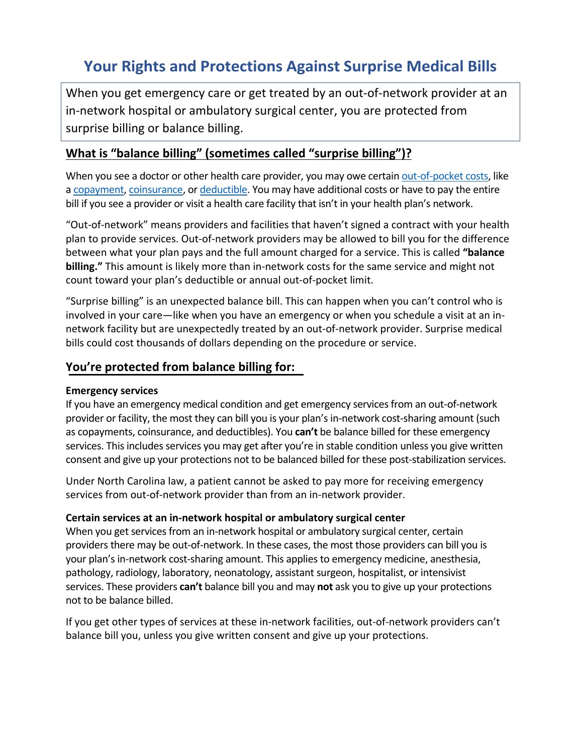# **Your Rights and Protections Against Surprise Medical Bills**

When you get emergency care or get treated by an out-of-network provider at an in‐network hospital or ambulatory surgical center, you are protected from surprise billing or balance billing.

## **What is "balance billing" (sometimes called "surprise billing")?**

When you see a doctor or other health care provider, you may owe certain out-of-pocket costs, like a copayment, coinsurance, or deductible. You may have additional costs or have to pay the entire bill if you see a provider or visit a health care facility that isn't in your health plan's network.

"Out‐of‐network" means providers and facilities that haven't signed a contract with your health plan to provide services. Out‐of‐network providers may be allowed to bill you for the difference between what your plan pays and the full amount charged for a service. This is called **"balance billing."** This amount is likely more than in-network costs for the same service and might not count toward your plan's deductible or annual out‐of‐pocket limit.

"Surprise billing" is an unexpected balance bill. This can happen when you can't control who is involved in your care—like when you have an emergency or when you schedule a visit at an in‐ network facility but are unexpectedly treated by an out‐of‐network provider. Surprise medical bills could cost thousands of dollars depending on the procedure or service.

### **You're protected from balance billing for:**

#### **Emergency services**

If you have an emergency medical condition and get emergency services from an out-of-network provider or facility, the most they can bill you is your plan's in-network cost-sharing amount (such as copayments, coinsurance, and deductibles). You **can't** be balance billed for these emergency services. This includes services you may get after you're in stable condition unless you give written consent and give up your protections not to be balanced billed for these post-stabilization services.

Under North Carolina law, a patient cannot be asked to pay more for receiving emergency services from out‐of‐network provider than from an in‐network provider.

#### **Certain services at an in‐network hospital or ambulatory surgical center**

When you get services from an in-network hospital or ambulatory surgical center, certain providers there may be out-of-network. In these cases, the most those providers can bill you is your plan's in-network cost-sharing amount. This applies to emergency medicine, anesthesia, pathology, radiology, laboratory, neonatology, assistant surgeon, hospitalist, or intensivist services. These providers **can't** balance bill you and may **not** ask you to give up your protections not to be balance billed.

If you get other types of services at these in‐network facilities, out‐of‐network providers can't balance bill you, unless you give written consent and give up your protections.